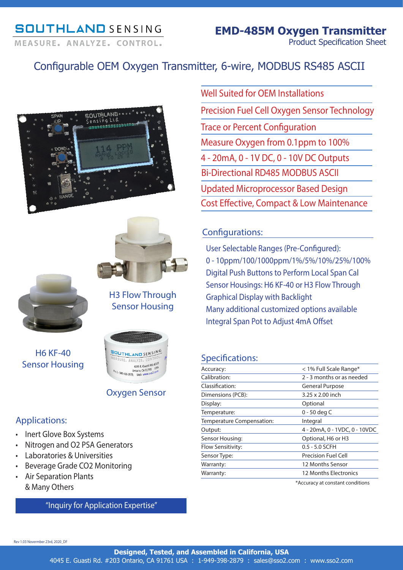# **SOUTHLAND SENSING** MEASURE, ANALYZE, CONTROL,

# Configurable OEM Oxygen Transmitter, 6-wire, MODBUS RS485 ASCII







H3 Flow Through Sensor Housing

H6 KF-40 Sensor Housing



## Oxygen Sensor

## Applications:

- Inert Glove Box Systems
- Nitrogen and O2 PSA Generators
- Laboratories & Universities
- Beverage Grade CO2 Monitoring
- Air Separation Plants & Many Others

## "Inquiry for Application Expertise"

Cost Effective, Compact & Low Maintenance Well Suited for OEM Installations Precision Fuel Cell Oxygen Sensor Technology Trace or Percent Configuration Measure Oxygen from 0.1ppm to 100% 4 - 20mA, 0 - 1V DC, 0 - 10V DC Outputs Updated Microprocessor Based Design Bi-Directional RD485 MODBUS ASCII

# Configurations:

User Selectable Ranges (Pre-Configured): 0 - 10ppm/100/1000ppm/1%/5%/10%/25%/100% Digital Push Buttons to Perform Local Span Cal Sensor Housings: H6 KF-40 or H3 Flow Through Graphical Display with Backlight Many additional customized options available Integral Span Pot to Adjust 4mA Offset

## Specifications:

| Accuracy:                 | < 1% Full Scale Range*        |
|---------------------------|-------------------------------|
| Calibration:              | 2 - 3 months or as needed     |
| Classification:           | <b>General Purpose</b>        |
| Dimensions (PCB):         | 3.25 x 2.00 inch              |
| Display:                  | Optional                      |
| Temperature:              | 0 - 50 deg C                  |
| Temperature Compensation: | Integral                      |
| Output:                   | 4 - 20mA, 0 - 1VDC, 0 - 10VDC |
| Sensor Housing:           | Optional, H6 or H3            |
| Flow Sensitivity:         | $0.5 - 5.0$ SCFH              |
| Sensor Type:              | <b>Precision Fuel Cell</b>    |
| Warranty:                 | 12 Months Sensor              |
| Warranty:                 | <b>12 Months Electronics</b>  |
|                           |                               |

\*Accuracy at constant conditions

Rev 1.03 Novermber 23rd, 2020\_DF